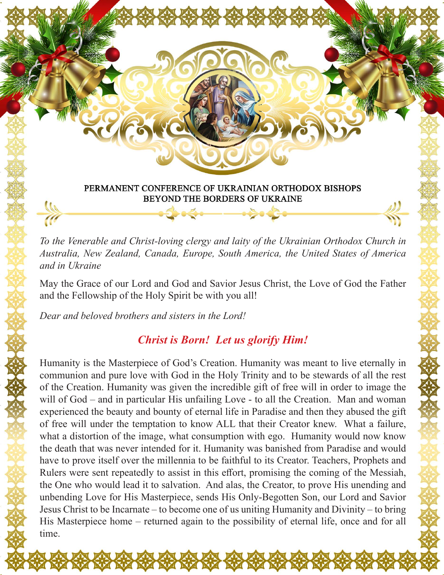

*To the Venerable and Christ-loving clergy and laity of the Ukrainian Orthodox Church in Australia, New Zealand, Canada, Europe, South America, the United States of America and in Ukraine*

May the Grace of our Lord and God and Savior Jesus Christ, the Love of God the Father and the Fellowship of the Holy Spirit be with you all!

*Dear and beloved brothers and sisters in the Lord!*

## *Christ is Born! Let us glorify Him!*

Humanity is the Masterpiece of God's Creation. Humanity was meant to live eternally in communion and pure love with God in the Holy Trinity and to be stewards of all the rest of the Creation. Humanity was given the incredible gift of free will in order to image the will of God – and in particular His unfailing Love - to all the Creation. Man and woman experienced the beauty and bounty of eternal life in Paradise and then they abused the gift of free will under the temptation to know ALL that their Creator knew. What a failure, what a distortion of the image, what consumption with ego. Humanity would now know the death that was never intended for it. Humanity was banished from Paradise and would have to prove itself over the millennia to be faithful to its Creator. Teachers, Prophets and Rulers were sent repeatedly to assist in this effort, promising the coming of the Messiah, the One who would lead it to salvation. And alas, the Creator, to prove His unending and unbending Love for His Masterpiece, sends His Only-Begotten Son, our Lord and Savior Jesus Christ to be Incarnate – to become one of us uniting Humanity and Divinity – to bring His Masterpiece home – returned again to the possibility of eternal life, once and for all time.